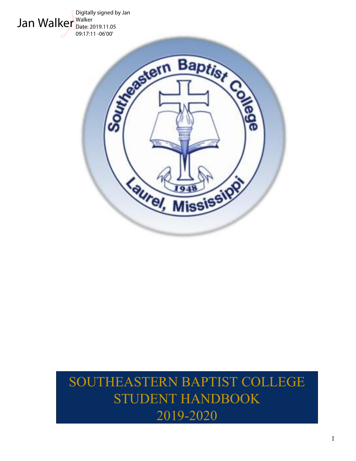

# SOUTHEASTERN BAPTIST COLLEGE STUDENT HANDBOOK 2019-2020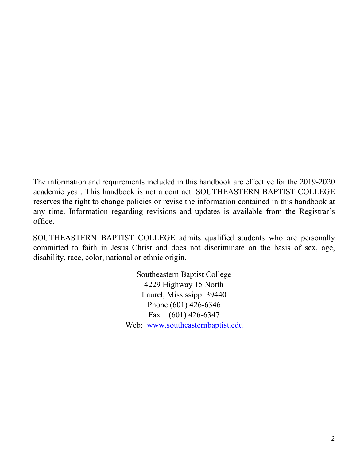The information and requirements included in this handbook are effective for the 2019-2020 academic year. This handbook is not a contract. SOUTHEASTERN BAPTIST COLLEGE reserves the right to change policies or revise the information contained in this handbook at any time. Information regarding revisions and updates is available from the Registrar's office.

SOUTHEASTERN BAPTIST COLLEGE admits qualified students who are personally committed to faith in Jesus Christ and does not discriminate on the basis of sex, age, disability, race, color, national or ethnic origin.

> Southeastern Baptist College 4229 Highway 15 North Laurel, Mississippi 39440 Phone (601) 426-6346 Fax (601) 426-6347 Web: [www.southeasternbaptist.edu](http://www.southeasternbaptist.edu/)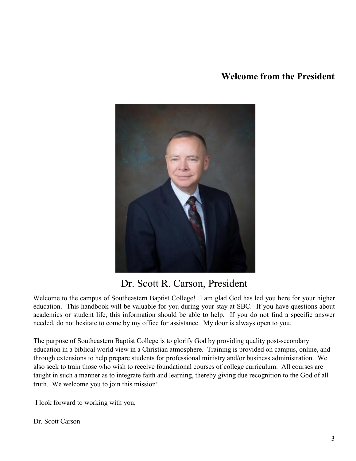### **Welcome from the President**



## Dr. Scott R. Carson, President

Welcome to the campus of Southeastern Baptist College! I am glad God has led you here for your higher education. This handbook will be valuable for you during your stay at SBC. If you have questions about academics or student life, this information should be able to help. If you do not find a specific answer needed, do not hesitate to come by my office for assistance. My door is always open to you.

The purpose of Southeastern Baptist College is to glorify God by providing quality post-secondary education in a biblical world view in a Christian atmosphere. Training is provided on campus, online, and through extensions to help prepare students for professional ministry and/or business administration. We also seek to train those who wish to receive foundational courses of college curriculum. All courses are taught in such a manner as to integrate faith and learning, thereby giving due recognition to the God of all truth. We welcome you to join this mission!

I look forward to working with you,

Dr. Scott Carson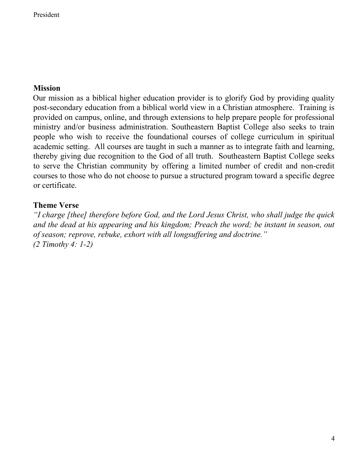### **Mission**

Our mission as a biblical higher education provider is to glorify God by providing quality post-secondary education from a biblical world view in a Christian atmosphere. Training is provided on campus, online, and through extensions to help prepare people for professional ministry and/or business administration. Southeastern Baptist College also seeks to train people who wish to receive the foundational courses of college curriculum in spiritual academic setting. All courses are taught in such a manner as to integrate faith and learning, thereby giving due recognition to the God of all truth. Southeastern Baptist College seeks to serve the Christian community by offering a limited number of credit and non-credit courses to those who do not choose to pursue a structured program toward a specific degree or certificate.

### **Theme Verse**

*"I charge [thee] therefore before God, and the Lord Jesus Christ, who shall judge the quick and the dead at his appearing and his kingdom; Preach the word; be instant in season, out of season; reprove, rebuke, exhort with all longsuffering and doctrine." (2 Timothy 4: 1-2)*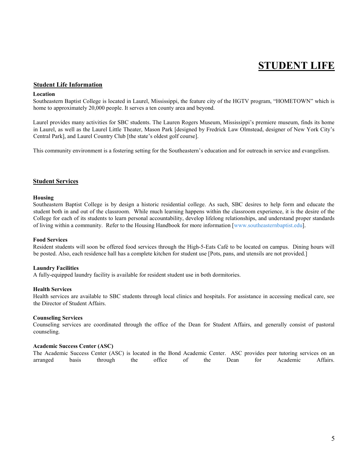## **STUDENT LIFE**

#### **Student Life Information**

#### **Location**

Southeastern Baptist College is located in Laurel, Mississippi, the feature city of the HGTV program, "HOMETOWN" which is home to approximately 20,000 people. It serves a ten county area and beyond.

Laurel provides many activities for SBC students. The Lauren Rogers Museum, Mississippi's premiere museum, finds its home in Laurel, as well as the Laurel Little Theater, Mason Park [designed by Fredrick Law Olmstead, designer of New York City's Central Park], and Laurel Country Club [the state's oldest golf course].

This community environment is a fostering setting for the Southeastern's education and for outreach in service and evangelism.

#### **Student Services**

#### **Housing**

Southeastern Baptist College is by design a historic residential college. As such, SBC desires to help form and educate the student both in and out of the classroom. While much learning happens within the classroom experience, it is the desire of the College for each of its students to learn personal accountability, develop lifelong relationships, and understand proper standards of living within a community. Refer to the Housing Handbook for more information [www.southeasternbaptist.edu].

#### **Food Services**

Resident students will soon be offered food services through the High-5-Eats Café to be located on campus. Dining hours will be posted. Also, each residence hall has a complete kitchen for student use [Pots, pans, and utensils are not provided.]

#### **Laundry Facilities**

A fully-equipped laundry facility is available for resident student use in both dormitories.

#### **Health Services**

Health services are available to SBC students through local clinics and hospitals. For assistance in accessing medical care, see the Director of Student Affairs.

#### **Counseling Services**

Counseling services are coordinated through the office of the Dean for Student Affairs, and generally consist of pastoral counseling.

#### **Academic Success Center (ASC)**

The Academic Success Center (ASC) is located in the Bond Academic Center. ASC provides peer tutoring services on an arranged basis through the office of the Dean for Academic Affairs.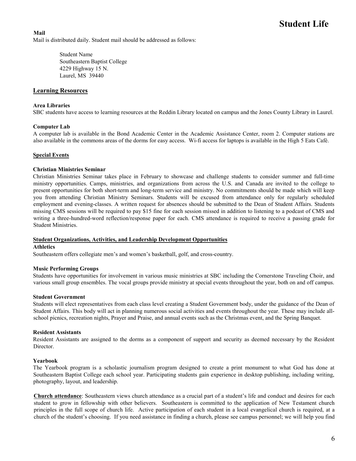**Mail** Mail is distributed daily. Student mail should be addressed as follows:

> Student Name Southeastern Baptist College 4229 Highway 15 N. Laurel, MS 39440

#### **Learning Resources**

#### **Area Libraries**

SBC students have access to learning resources at the Reddin Library located on campus and the Jones County Library in Laurel.

#### **Computer Lab**

A computer lab is available in the Bond Academic Center in the Academic Assistance Center, room 2. Computer stations are also available in the commons areas of the dorms for easy access. Wi-fi access for laptops is available in the High 5 Eats Café.

#### **Special Events**

#### **Christian Ministries Seminar**

Christian Ministries Seminar takes place in February to showcase and challenge students to consider summer and full-time ministry opportunities. Camps, ministries, and organizations from across the U.S. and Canada are invited to the college to present opportunities for both short-term and long-term service and ministry. No commitments should be made which will keep you from attending Christian Ministry Seminars. Students will be excused from attendance only for regularly scheduled employment and evening-classes. A written request for absences should be submitted to the Dean of Student Affairs. Students missing CMS sessions will be required to pay \$15 fine for each session missed in addition to listening to a podcast of CMS and writing a three-hundred-word reflection/response paper for each. CMS attendance is required to receive a passing grade for Student Ministries.

#### **Student Organizations, Activities, and Leadership Development Opportunities**

#### **Athletics**

Southeastern offers collegiate men's and women's basketball, golf, and cross-country.

#### **Music Performing Groups**

Students have opportunities for involvement in various music ministries at SBC including the Cornerstone Traveling Choir, and various small group ensembles. The vocal groups provide ministry at special events throughout the year, both on and off campus.

#### **Student Government**

Students will elect representatives from each class level creating a Student Government body, under the guidance of the Dean of Student Affairs. This body will act in planning numerous social activities and events throughout the year. These may include allschool picnics, recreation nights, Prayer and Praise, and annual events such as the Christmas event, and the Spring Banquet.

#### **Resident Assistants**

Resident Assistants are assigned to the dorms as a component of support and security as deemed necessary by the Resident Director.

#### **Yearbook**

The Yearbook program is a scholastic journalism program designed to create a print monument to what God has done at Southeastern Baptist College each school year. Participating students gain experience in desktop publishing, including writing, photography, layout, and leadership.

**Church attendance**: Southeastern views church attendance as a crucial part of a student's life and conduct and desires for each student to grow in fellowship with other believers. Southeastern is committed to the application of New Testament church principles in the full scope of church life. Active participation of each student in a local evangelical church is required, at a church of the student's choosing. If you need assistance in finding a church, please see campus personnel; we will help you find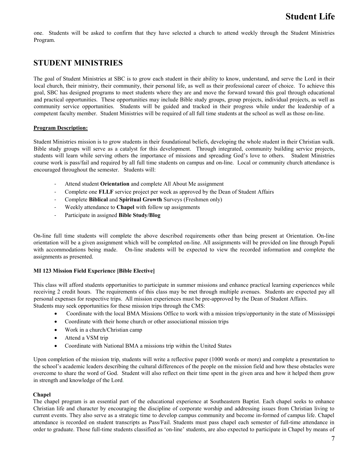one. Students will be asked to confirm that they have selected a church to attend weekly through the Student Ministries Program.

### **STUDENT MINISTRIES**

The goal of Student Ministries at SBC is to grow each student in their ability to know, understand, and serve the Lord in their local church, their ministry, their community, their personal life, as well as their professional career of choice. To achieve this goal, SBC has designed programs to meet students where they are and move the forward toward this goal through educational and practical opportunities. These opportunities may include Bible study groups, group projects, individual projects, as well as community service opportunities. Students will be guided and tracked in their progress while under the leadership of a competent faculty member. Student Ministries will be required of all full time students at the school as well as those on-line.

#### **Program Description:**

Student Ministries mission is to grow students in their foundational beliefs, developing the whole student in their Christian walk. Bible study groups will serve as a catalyst for this development. Through integrated, community building service projects, students will learn while serving others the importance of missions and spreading God's love to others. Student Ministries course work is pass/fail and required by all full time students on campus and on-line. Local or community church attendance is encouraged throughout the semester. Students will:

- Attend student **Orientation** and complete All About Me assignment
- Complete one **FLLF** service project per week as approved by the Dean of Student Affairs
- Complete **Biblical** and **Spiritual Growth** Surveys (Freshmen only)
- Weekly attendance to **Chapel** with follow up assignments
- Participate in assigned **Bible Study/Blog**

On-line full time students will complete the above described requirements other than being present at Orientation. On-line orientation will be a given assignment which will be completed on-line. All assignments will be provided on line through Populi with accommodations being made. On-line students will be expected to view the recorded information and complete the assignments as presented.

#### **MI 123 Mission Field Experience [Bible Elective]**

This class will afford students opportunities to participate in summer missions and enhance practical learning experiences while receiving 2 credit hours. The requirements of this class may be met through multiple avenues. Students are expected pay all personal expenses for respective trips. All mission experiences must be pre-approved by the Dean of Student Affairs. Students may seek opportunities for these mission trips through the CMS:

- Coordinate with the local BMA Missions Office to work with a mission trips/opportunity in the state of Mississippi
- Coordinate with their home church or other associational mission trips
- Work in a church/Christian camp
- Attend a VSM trip
- Coordinate with National BMA a missions trip within the United States

Upon completion of the mission trip, students will write a reflective paper (1000 words or more) and complete a presentation to the school's academic leaders describing the cultural differences of the people on the mission field and how these obstacles were overcome to share the word of God. Student will also reflect on their time spent in the given area and how it helped them grow in strength and knowledge of the Lord.

#### **Chapel**

The chapel program is an essential part of the educational experience at Southeastern Baptist. Each chapel seeks to enhance Christian life and character by encouraging the discipline of corporate worship and addressing issues from Christian living to current events. They also serve as a strategic time to develop campus community and become in-formed of campus life. Chapel attendance is recorded on student transcripts as Pass/Fail. Students must pass chapel each semester of full-time attendance in order to graduate. Those full-time students classified as 'on-line' students, are also expected to participate in Chapel by means of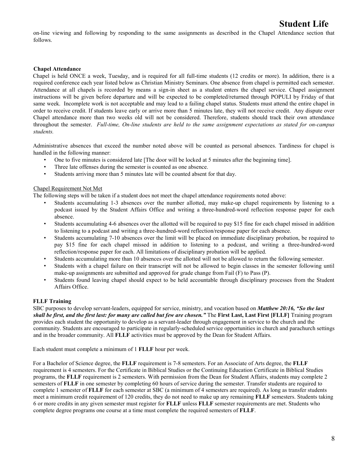on-line viewing and following by responding to the same assignments as described in the Chapel Attendance section that follows.

#### **Chapel Attendance**

Chapel is held ONCE a week, Tuesday, and is required for all full-time students (12 credits or more). In addition, there is a required conference each year listed below as Christian Ministry Seminars. One absence from chapel is permitted each semester. Attendance at all chapels is recorded by means a sign-in sheet as a student enters the chapel service. Chapel assignment instructions will be given before departure and will be expected to be completed/returned through POPULI by Friday of that same week. Incomplete work is not acceptable and may lead to a failing chapel status. Students must attend the entire chapel in order to receive credit. If students leave early or arrive more than 5 minutes late, they will not receive credit. Any dispute over Chapel attendance more than two weeks old will not be considered. Therefore, students should track their own attendance throughout the semester. *Full-time, On-line students are held to the same assignment expectations as stated for on-campus students.*

Administrative absences that exceed the number noted above will be counted as personal absences. Tardiness for chapel is handled in the following manner:

- One to five minutes is considered late [The door will be locked at 5 minutes after the beginning time].
- Three late offenses during the semester is counted as one absence.
- Students arriving more than 5 minutes late will be counted absent for that day.

#### Chapel Requirement Not Met

The following steps will be taken if a student does not meet the chapel attendance requirements noted above:

- Students accumulating 1-3 absences over the number allotted, may make-up chapel requirements by listening to a podcast issued by the Student Affairs Office and writing a three-hundred-word reflection response paper for each absence.
- Students accumulating 4-6 absences over the allotted will be required to pay \$15 fine for each chapel missed in addition to listening to a podcast and writing a three-hundred-word reflection/response paper for each absence.
- Students accumulating 7-10 absences over the limit will be placed on immediate disciplinary probation, be required to pay \$15 fine for each chapel missed in addition to listening to a podcast, and writing a three-hundred-word reflection/response paper for each. All limitations of disciplinary probation will be applied.
- Students accumulating more than 10 absences over the allotted will not be allowed to return the following semester.
- Students with a chapel failure on their transcript will not be allowed to begin classes in the semester following until make-up assignments are submitted and approved for grade change from Fail (F) to Pass (P).
- Students found leaving chapel should expect to be held accountable through disciplinary processes from the Student Affairs Office.

#### **FLLF Training**

SBC purposes to develop servant-leaders, equipped for service, ministry, and vocation based on *Matthew 20:16, "So the last shall be first, and the first last: for many are called but few are chosen."* The **First Last, Last First [FLLF]** Training program provides each student the opportunity to develop as a servant-leader through engagement in service to the church and the community. Students are encouraged to participate in regularly-scheduled service opportunities in church and parachurch settings and in the broader community. All **FLLF** activities must be approved by the Dean for Student Affairs.

Each student must complete a minimum of 1 **FLLF** hour per week.

For a Bachelor of Science degree, the **FLLF** requirement is 7-8 semesters. For an Associate of Arts degree, the **FLLF** requirement is 4 semesters. For the Certificate in Biblical Studies or the Continuing Education Certificate in Biblical Studies programs, the **FLLF** requirement is 2 semesters. With permission from the Dean for Student Affairs, students may complete 2 semesters of **FLLF** in one semester by completing 60 hours of service during the semester. Transfer students are required to complete 1 semester of **FLLF** for each semester at SBC (a minimum of 4 semesters are required). As long as transfer students meet a minimum credit requirement of 120 credits, they do not need to make up any remaining **FLLF** semesters. Students taking 6 or more credits in any given semester must register for **FLLF** unless **FLLF** semester requirements are met. Students who complete degree programs one course at a time must complete the required semesters of **FLLF**.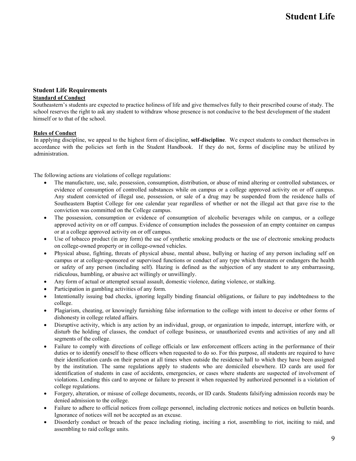#### **Student Life Requirements Standard of Conduct**

Southeastern's students are expected to practice holiness of life and give themselves fully to their prescribed course of study. The school reserves the right to ask any student to withdraw whose presence is not conducive to the best development of the student himself or to that of the school.

#### **Rules of Conduct**

In applying discipline, we appeal to the highest form of discipline, **self-discipline**. We expect students to conduct themselves in accordance with the policies set forth in the Student Handbook. If they do not, forms of discipline may be utilized by administration.

The following actions are violations of college regulations:

- The manufacture, use, sale, possession, consumption, distribution, or abuse of mind altering or controlled substances, or evidence of consumption of controlled substances while on campus or a college approved activity on or off campus. Any student convicted of illegal use, possession, or sale of a drug may be suspended from the residence halls of Southeastern Baptist College for one calendar year regardless of whether or not the illegal act that gave rise to the conviction was committed on the College campus.
- The possession, consumption or evidence of consumption of alcoholic beverages while on campus, or a college approved activity on or off campus. Evidence of consumption includes the possession of an empty container on campus or at a college approved activity on or off campus.
- Use of tobacco product (in any form) the use of synthetic smoking products or the use of electronic smoking products on college-owned property or in college-owned vehicles.
- Physical abuse, fighting, threats of physical abuse, mental abuse, bullying or hazing of any person including self on campus or at college-sponsored or supervised functions or conduct of any type which threatens or endangers the health or safety of any person (including self). Hazing is defined as the subjection of any student to any embarrassing, ridiculous, humbling, or abusive act willingly or unwillingly.
- Any form of actual or attempted sexual assault, domestic violence, dating violence, or stalking.
- Participation in gambling activities of any form.
- Intentionally issuing bad checks, ignoring legally binding financial obligations, or failure to pay indebtedness to the college.
- Plagiarism, cheating, or knowingly furnishing false information to the college with intent to deceive or other forms of dishonesty in college related affairs.
- Disruptive activity, which is any action by an individual, group, or organization to impede, interrupt, interfere with, or disturb the holding of classes, the conduct of college business, or unauthorized events and activities of any and all segments of the college.
- Failure to comply with directions of college officials or law enforcement officers acting in the performance of their duties or to identify oneself to these officers when requested to do so. For this purpose, all students are required to have their identification cards on their person at all times when outside the residence hall to which they have been assigned by the institution. The same regulations apply to students who are domiciled elsewhere. ID cards are used for identification of students in case of accidents, emergencies, or cases where students are suspected of involvement of violations. Lending this card to anyone or failure to present it when requested by authorized personnel is a violation of college regulations.
- Forgery, alteration, or misuse of college documents, records, or ID cards. Students falsifying admission records may be denied admission to the college.
- Failure to adhere to official notices from college personnel, including electronic notices and notices on bulletin boards. Ignorance of notices will not be accepted as an excuse.
- Disorderly conduct or breach of the peace including rioting, inciting a riot, assembling to riot, inciting to raid, and assembling to raid college units.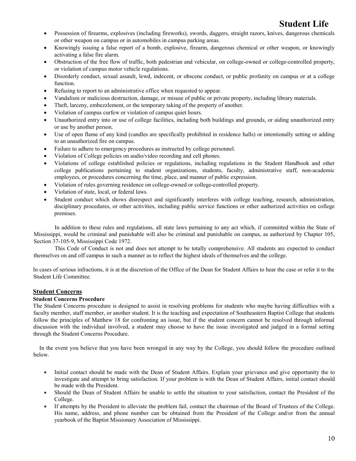- Possession of firearms, explosives (including fireworks), swords, daggers, straight razors, knives, dangerous chemicals or other weapon on campus or in automobiles in campus parking areas.
- Knowingly issuing a false report of a bomb, explosive, firearm, dangerous chemical or other weapon, or knowingly activating a false fire alarm.
- Obstruction of the free flow of traffic, both pedestrian and vehicular, on college-owned or college-controlled property, or violation of campus motor vehicle regulations.
- Disorderly conduct, sexual assault, lewd, indecent, or obscene conduct, or public profanity on campus or at a college function.
- Refusing to report to an administrative office when requested to appear.
- Vandalism or malicious destruction, damage, or misuse of public or private property, including library materials.
- Theft, larceny, embezzlement, or the temporary taking of the property of another.
- Violation of campus curfew or violation of campus quiet hours.
- Unauthorized entry into or use of college facilities, including both buildings and grounds, or aiding unauthorized entry or use by another person.
- Use of open flame of any kind (candles are specifically prohibited in residence halls) or intentionally setting or adding to an unauthorized fire on campus.
- Failure to adhere to emergency procedures as instructed by college personnel.
- Violation of College policies on audio/video recording and cell phones.
- Violations of college established policies or regulations, including regulations in the Student Handbook and other college publications pertaining to student organizations, students, faculty, administrative staff, non-academic employees, or procedures concerning the time, place, and manner of public expression.
- Violation of rules governing residence on college-owned or college-controlled property.
- Violation of state, local, or federal laws.
- Student conduct which shows disrespect and significantly interferes with college teaching, research, administration, disciplinary procedures, or other activities, including public service functions or other authorized activities on college premises.

In addition to these rules and regulations, all state laws pertaining to any act which, if committed within the State of Mississippi, would be criminal and punishable will also be criminal and punishable on campus, as authorized by Chapter 105, Section 37-105-9, Mississippi Code 1972.

This Code of Conduct is not and does not attempt to be totally comprehensive. All students are expected to conduct themselves on and off campus in such a manner as to reflect the highest ideals of themselves and the college.

In cases of serious infractions, it is at the discretion of the Office of the Dean for Student Affairs to hear the case or refer it to the Student Life Committee.

#### **Student Concerns**

#### **Student Concerns Procedure**

The Student Concerns procedure is designed to assist in resolving problems for students who maybe having difficulties with a faculty member, staff member, or another student. It is the teaching and expectation of Southeastern Baptist College that students follow the principles of Matthew 18 for confronting an issue, but if the student concern cannot be resolved through informal discussion with the individual involved, a student may choose to have the issue investigated and judged in a formal setting through the Student Concerns Procedure.

In the event you believe that you have been wronged in any way by the College, you should follow the procedure outlined below.

- Initial contact should be made with the Dean of Student Affairs. Explain your grievance and give opportunity the to investigate and attempt to bring satisfaction. If your problem is with the Dean of Student Affairs, initial contact should be made with the President.
- Should the Dean of Student Affairs be unable to settle the situation to your satisfaction, contact the President of the College.
- If attempts by the President to alleviate the problem fail, contact the chairman of the Board of Trustees of the College. His name, address, and phone number can be obtained from the President of the College and/or from the annual yearbook of the Baptist Missionary Association of Mississippi.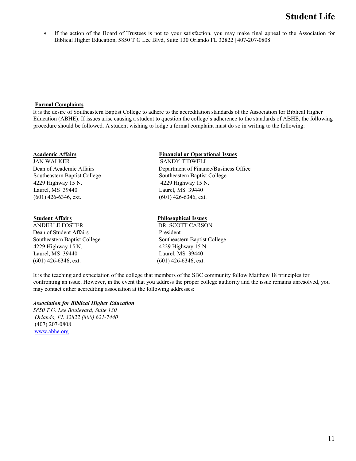• If the action of the Board of Trustees is not to your satisfaction, you may make final appeal to the Association for Biblical Higher Education, 5850 T G Lee Blvd, Suite 130 Orlando FL 32822 | 407-207-0808.

#### **Formal Complaints**

It is the desire of Southeastern Baptist College to adhere to the accreditation standards of the Association for Biblical Higher Education (ABHE). If issues arise causing a student to question the college's adherence to the standards of ABHE, the following procedure should be followed. A student wishing to lodge a formal complaint must do so in writing to the following:

JAN WALKER SANDY TIDWELL Southeastern Baptist College Southeastern Baptist College 4229 Highway 15 N. 4229 Highway 15 N. Laurel, MS 39440 Laurel, MS 39440  $(601)$  426-6346, ext.  $(601)$  426-6346, ext.

ANDERLE FOSTER DR. SCOTT CARSON Dean of Student Affairs President 4229 Highway 15 N. 4229 Highway 15 N. Laurel, MS 39440 Laurel, MS 39440  $(601)$  426-6346, ext.  $(601)$  426-6346, ext.

### **Academic Affairs Financial or Operational Issues**

Dean of Academic Affairs Department of Finance/Business Office

#### **Student Affairs Philosophical Issues**

Southeastern Baptist College Southeastern Baptist College

It is the teaching and expectation of the college that members of the SBC community follow Matthew 18 principles for confronting an issue. However, in the event that you address the proper college authority and the issue remains unresolved, you may contact either accrediting association at the following addresses:

#### *Association for Biblical Higher Education*

*5850 T.G. Lee Boulevard, Suite 130 Orlando, FL 32822 (800) 621-7440* (407) 207-0808 [www.abhe.org](http://www.hlcommission.org/)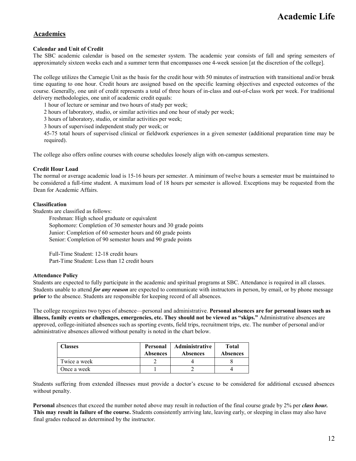### **Academics**

#### **Calendar and Unit of Credit**

The SBC academic calendar is based on the semester system. The academic year consists of fall and spring semesters of approximately sixteen weeks each and a summer term that encompasses one 4-week session [at the discretion of the college].

The college utilizes the Carnegie Unit as the basis for the credit hour with 50 minutes of instruction with transitional and/or break time equating to one hour. Credit hours are assigned based on the specific learning objectives and expected outcomes of the course. Generally, one unit of credit represents a total of three hours of in-class and out-of-class work per week. For traditional delivery methodologies, one unit of academic credit equals:

1 hour of lecture or seminar and two hours of study per week;

2 hours of laboratory, studio, or similar activities and one hour of study per week;

3 hours of laboratory, studio, or similar activities per week;

3 hours of supervised independent study per week; or

45-75 total hours of supervised clinical or fieldwork experiences in a given semester (additional preparation time may be required).

The college also offers online courses with course schedules loosely align with on-campus semesters.

#### **Credit Hour Load**

The normal or average academic load is 15-16 hours per semester. A minimum of twelve hours a semester must be maintained to be considered a full-time student. A maximum load of 18 hours per semester is allowed. Exceptions may be requested from the Dean for Academic Affairs.

#### **Classification**

Students are classified as follows:

Freshman: High school graduate or equivalent Sophomore: Completion of 30 semester hours and 30 grade points Junior: Completion of 60 semester hours and 60 grade points Senior: Completion of 90 semester hours and 90 grade points

Full-Time Student: 12-18 credit hours Part-Time Student: Less than 12 credit hours

#### **Attendance Policy**

Students are expected to fully participate in the academic and spiritual programs at SBC. Attendance is required in all classes. Students unable to attend *for any reason* are expected to communicate with instructors in person, by email, or by phone message **prior** to the absence. Students are responsible for keeping record of all absences.

The college recognizes two types of absence—personal and administrative. **Personal absences are for personal issues such as illness, family events or challenges, emergencies, etc. They should not be viewed as "skips."** Administrative absences are approved, college-initiated absences such as sporting events, field trips, recruitment trips, etc. The number of personal and/or administrative absences allowed without penalty is noted in the chart below.

| <b>Classes</b> | Personal<br><b>Absences</b> | <b>Administrative</b><br><b>Absences</b> | <b>Total</b><br><b>Absences</b> |
|----------------|-----------------------------|------------------------------------------|---------------------------------|
| Twice a week   |                             |                                          |                                 |
| Once a week    |                             |                                          |                                 |

Students suffering from extended illnesses must provide a doctor's excuse to be considered for additional excused absences without penalty.

**Personal** absences that exceed the number noted above may result in reduction of the final course grade by 2% per *class hour.*  **This may result in failure of the course.** Students consistently arriving late, leaving early, or sleeping in class may also have final grades reduced as determined by the instructor.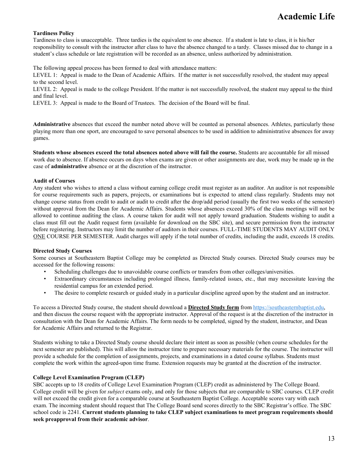#### **Tardiness Policy**

Tardiness to class is unacceptable. Three tardies is the equivalent to one absence. If a student is late to class, it is his/her responsibility to consult with the instructor after class to have the absence changed to a tardy. Classes missed due to change in a student's class schedule or late registration will be recorded as an absence, unless authorized by administration.

The following appeal process has been formed to deal with attendance matters:

LEVEL 1: Appeal is made to the Dean of Academic Affairs. If the matter is not successfully resolved, the student may appeal to the second level.

LEVEL 2: Appeal is made to the college President. If the matter is not successfully resolved, the student may appeal to the third and final level.

LEVEL 3: Appeal is made to the Board of Trustees. The decision of the Board will be final.

**Administrative** absences that exceed the number noted above will be counted as personal absences. Athletes, particularly those playing more than one sport, are encouraged to save personal absences to be used in addition to administrative absences for away games.

**Students whose absences exceed the total absences noted above will fail the course.** Students are accountable for all missed work due to absence. If absence occurs on days when exams are given or other assignments are due, work may be made up in the case of **administrative** absence or at the discretion of the instructor.

#### **Audit of Courses**

Any student who wishes to attend a class without earning college credit must register as an auditor. An auditor is not responsible for course requirements such as papers, projects, or examinations but is expected to attend class regularly. Students may not change course status from credit to audit or audit to credit after the drop/add period (usually the first two weeks of the semester) without approval from the Dean for Academic Affairs. Students whose absences exceed 30% of the class meetings will not be allowed to continue auditing the class. A course taken for audit will not apply toward graduation. Students wishing to audit a class must fill out the Audit request form (available for download on the SBC site), and secure permission from the instructor before registering. Instructors may limit the number of auditors in their courses. FULL-TIME STUDENTS MAY AUDIT ONLY ONE COURSE PER SEMESTER. Audit charges will apply if the total number of credits, including the audit, exceeds 18 credits.

#### **Directed Study Courses**

Some courses at Southeastern Baptist College may be completed as Directed Study courses. Directed Study courses may be accessed for the following reasons:

- Scheduling challenges due to unavoidable course conflicts or transfers from other colleges/universities.
- Extraordinary circumstances including prolonged illness, family-related issues, etc., that may necessitate leaving the residential campus for an extended period.
- The desire to complete research or guided study in a particular discipline agreed upon by the student and an instructor.

To access a Directed Study course, the student should download a **Directed Study form** from [https://southeasternbaptist.edu,](https://southeasternbaptist.edu/) and then discuss the course request with the appropriate instructor. Approval of the request is at the discretion of the instructor in consultation with the Dean for Academic Affairs. The form needs to be completed, signed by the student, instructor, and Dean for Academic Affairs and returned to the Registrar.

Students wishing to take a Directed Study course should declare their intent as soon as possible (when course schedules for the next semester are published). This will allow the instructor time to prepare necessary materials for the course. The instructor will provide a schedule for the completion of assignments, projects, and examinations in a dated course syllabus. Students must complete the work within the agreed-upon time frame. Extension requests may be granted at the discretion of the instructor.

#### **College Level Examination Program (CLEP)**

SBC accepts up to 18 credits of College Level Examination Program (CLEP) credit as administered by The College Board. College credit will be given for *subject* exams only, and only for those subjects that are comparable to SBC courses. CLEP credit will not exceed the credit given for a comparable course at Southeastern Baptist College. Acceptable scores vary with each exam. The incoming student should request that The College Board send scores directly to the SBC Registrar's office. The SBC school code is 2241. **Current students planning to take CLEP subject examinations to meet program requirements should seek preapproval from their academic advisor**.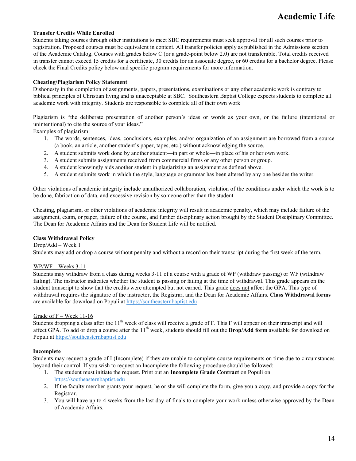#### **Transfer Credits While Enrolled**

Students taking courses through other institutions to meet SBC requirements must seek approval for all such courses prior to registration. Proposed courses must be equivalent in content. All transfer policies apply as published in the Admissions section of the Academic Catalog. Courses with grades below C (or a grade-point below 2.0) are not transferable. Total credits received in transfer cannot exceed 15 credits for a certificate, 30 credits for an associate degree, or 60 credits for a bachelor degree. Please check the Final Credits policy below and specific program requirements for more information.

#### **Cheating/Plagiarism Policy Statement**

Dishonesty in the completion of assignments, papers, presentations, examinations or any other academic work is contrary to biblical principles of Christian living and is unacceptable at SBC. Southeastern Baptist College expects students to complete all academic work with integrity. Students are responsible to complete all of their own work

Plagiarism is "the deliberate presentation of another person's ideas or words as your own, or the failure (intentional or unintentional) to cite the source of your ideas."

Examples of plagiarism:

- 1. The words, sentences, ideas, conclusions, examples, and/or organization of an assignment are borrowed from a source (a book, an article, another student's paper, tapes, etc.) without acknowledging the source.
- 2. A student submits work done by another student—in part or whole—in place of his or her own work.
- 3. A student submits assignments received from commercial firms or any other person or group.
- 4. A student knowingly aids another student in plagiarizing an assignment as defined above.
- 5. A student submits work in which the style, language or grammar has been altered by any one besides the writer.

Other violations of academic integrity include unauthorized collaboration, violation of the conditions under which the work is to be done, fabrication of data, and excessive revision by someone other than the student.

Cheating, plagiarism, or other violations of academic integrity will result in academic penalty, which may include failure of the assignment, exam, or paper, failure of the course, and further disciplinary action brought by the Student Disciplinary Committee. The Dean for Academic Affairs and the Dean for Student Life will be notified.

#### **Class Withdrawal Policy**

Drop/Add – Week 1

Students may add or drop a course without penalty and without a record on their transcript during the first week of the term.

#### WP/WF – Weeks 3-11

Students may withdraw from a class during weeks 3-11 of a course with a grade of WP (withdraw passing) or WF (withdraw failing). The instructor indicates whether the student is passing or failing at the time of withdrawal. This grade appears on the student transcript to show that the credits were attempted but not earned. This grade does not affect the GPA. This type of withdrawal requires the signature of the instructor, the Registrar, and t[he](http://navigator.emmaus.edu/) Dean for Academic Affairs. **Class Withdrawal forms** are available for download on Populi at [https://southeasternbaptist.edu](https://southeasternbaptist.edu/)

#### Grade of F – Week 11-16

Students dropping a class after the  $11<sup>th</sup>$  week of class will receive a grade of F. This F will appear on their transcript and will affect GPA. To add or drop a course after the 11<sup>th</sup> week, students should fill out the **Drop/Add form** available for download on Populi at [https://southeasternbaptist.edu](https://southeasternbaptist.edu/)

#### **Incomplete**

Students may request a grade of I (Incomplete) if they are unable to complete course requirements on time due to circumstances beyond their control. If you wish to request an Incomplete the following procedure should be followed:

- 1. The student must initiate the request. Print out an **Incomplete Grade Contract** on Populi on [https://southeasternbaptist.edu](https://southeasternbaptist.edu/)
- 2. If the faculty member grants your request, he or she will complete the form, give you a copy, and provide a copy for the Registrar.
- 3. You will have up to 4 weeks from the last day of finals to complete your work unless otherwise approved by the Dean of Academic Affairs.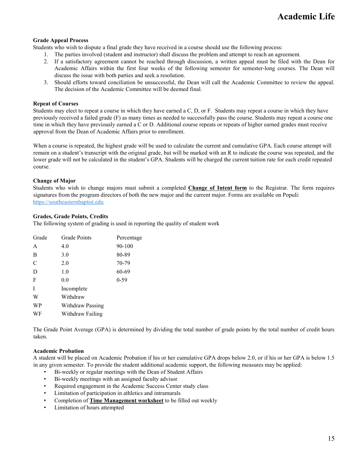#### **Grade Appeal Process**

Students who wish to dispute a final grade they have received in a course should use the following process:

- 1. The parties involved (student and instructor) shall discuss the problem and attempt to reach an agreement.
- 2. If a satisfactory agreement cannot be reached through discussion, a written appeal must be filed with the Dean for Academic Affairs within the first four weeks of the following semester for semester-long courses. The Dean will discuss the issue with both parties and seek a resolution.
- 3. Should efforts toward conciliation be unsuccessful, the Dean will call the Academic Committee to review the appeal. The decision of the Academic Committee will be deemed final.

#### **Repeat of Courses**

Students may elect to repeat a course in which they have earned a C, D, or F. Students may repeat a course in which they have previously received a failed grade (F) as many times as needed to successfully pass the course. Students may repeat a course one time in which they have previously earned a C or D. Additional course repeats or repeats of higher earned grades must receive approval from the Dean of Academic Affairs prior to enrollment.

When a course is repeated, the highest grade will be used to calculate the current and cumulative GPA. Each course attempt will remain on a student's transcript with the original grade, but will be marked with an R to indicate the course was repeated, and the lower grade will not be calculated in the student's GPA. Students will be charged the current tuition rate for each credit repeated course.

#### **Change of Major**

Students who wish to change majors must submit a completed **Change of Intent form** to the Registrar. The form requires signatures from the program directors of both the new major and the current major. Forms are available on Populi: [https://southeasternbaptist.edu](https://southeasternbaptist.edu/)

#### **Grades, Grade Points, Credits**

The following system of grading is used in reporting the quality of student work

| Grade | <b>Grade Points</b> | Percentage |
|-------|---------------------|------------|
| A     | 4.0                 | 90-100     |
| B     | 3.0                 | 80-89      |
| C     | 2.0                 | 70-79      |
| D     | 1.0                 | 60-69      |
| F     | 0.0                 | $0-59$     |
| I     | Incomplete          |            |
| W     | Withdraw            |            |
| WP    | Withdraw Passing    |            |
| WF    | Withdraw Failing    |            |

The Grade Point Average (GPA) is determined by dividing the total number of grade points by the total number of credit hours taken.

#### **Academic Probation**

A student will be placed on Academic Probation if his or her cumulative GPA drops below 2.0, or if his or her GPA is below 1.5 in any given semester. To provide the student additional academic support, the following measures may be applied:

- Bi-weekly or regular meetings with the Dean of Student Affairs
- Bi-weekly meetings with an assigned faculty advisor
- Required engagement in the Academic Success Center study class
- Limitation of participation in athletics and intramurals
- Completion of **Time Management worksheet** to be filled out weekly
- Limitation of hours attempted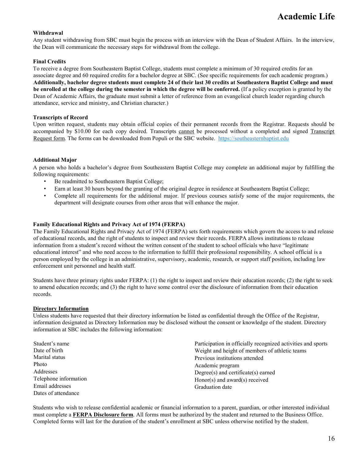#### **Withdrawal**

Any student withdrawing from SBC must begin the process with an interview with the Dean of Student Affairs. In the interview, the Dean will communicate the necessary steps for withdrawal from the college.

#### **Final Credits**

To receive a degree from Southeastern Baptist College, students must complete a minimum of 30 required credits for an associate degree and 60 required credits for a bachelor degree at SBC. (See specific requirements for each academic program.) **Additionally, bachelor degree students must complete 24 of their last 30 credits at Southeastern Baptist College and must be enrolled at the college during the semester in which the degree will be conferred.** (If a policy exception is granted by the Dean of Academic Affairs, the graduate must submit a letter of reference from an evangelical church leader regarding church attendance, service and ministry, and Christian character.)

#### **Transcripts of Record**

Upon written request, students may obtain official copies of their permanent records from the Registrar. Requests should be accompanied by \$10.00 for each copy desired. Transcripts cannot be processed without a completed and signed Transcript Request form. The forms can be downloaded from Populi or the SBC website. [https://southeasternbaptist.edu](https://southeasternbaptist.edu/)

#### **Additional Major**

A person who holds a bachelor's degree from Southeastern Baptist College may complete an additional major by fulfilling the following requirements:

- Be readmitted to Southeastern Baptist College;
- Earn at least 30 hours beyond the granting of the original degree in residence at Southeastern Baptist College;
- Complete all requirements for the additional major. If previous courses satisfy some of the major requirements, the department will designate courses from other areas that will enhance the major.

#### **Family Educational Rights and Privacy Act of 1974 (FERPA)**

The Family Educational Rights and Privacy Act of 1974 (FERPA) sets forth requirements which govern the access to and release of educational records, and the right of students to inspect and review their records. FERPA allows institutions to release information from a student's record without the written consent of the student to school officials who have "legitimate educational interest" and who need access to the information to fulfill their professional responsibility. A school official is a person employed by the college in an administrative, supervisory, academic, research, or support staff position, including law enforcement unit personnel and health staff.

Students have three primary rights under FERPA: (1) the right to inspect and review their education records; (2) the right to seek to amend education records; and (3) the right to have some control over the disclosure of information from their education records.

#### **Directory Information**

Unless students have requested that their directory information be listed as confidential through the Office of the Registrar, information designated as Directory Information may be disclosed without the consent or knowledge of the student. Directory information at SBC includes the following information:

| Student's name        | Participation in officially recognized activities and sports |  |  |
|-----------------------|--------------------------------------------------------------|--|--|
| Date of birth         | Weight and height of members of athletic teams               |  |  |
| Marital status        | Previous institutions attended                               |  |  |
| Photo                 | Academic program                                             |  |  |
| Addresses             | $Degree(s)$ and certificate $(s)$ earned                     |  |  |
| Telephone information | Honor(s) and award(s) received                               |  |  |
| Email addresses       | Graduation date                                              |  |  |
| Dates of attendance   |                                                              |  |  |

Students who wish to release confidential academic or financial information to a parent, guardian, or other interested individual must complete a **FERPA Disclosure form**. All forms must be authorized by the student and returned to the Business Office. Completed forms will last for the duration of the student's enrollment at SBC unless otherwise notified by the student.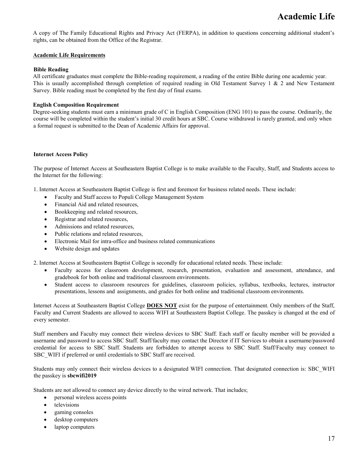A copy of The Family Educational Rights and Privacy Act (FERPA), in addition to questions concerning additional student's rights, can be obtained from the Office of the Registrar.

#### **Academic Life Requirements**

#### **Bible Reading**

All certificate graduates must complete the Bible-reading requirement, a reading of the entire Bible during one academic year. This is usually accomplished through completion of required reading in Old Testament Survey  $1 \& 2$  and New Testament Survey. Bible reading must be completed by the first day of final exams.

#### **English Composition Requirement**

Degree-seeking students must earn a minimum grade of C in English Composition (ENG 101) to pass the course. Ordinarily, the course will be completed within the student's initial 30 credit hours at SBC. Course withdrawal is rarely granted, and only when a formal request is submitted to the Dean of Academic Affairs for approval.

#### **Internet Access Policy**

The purpose of Internet Access at Southeastern Baptist College is to make available to the Faculty, Staff, and Students access to the Internet for the following:

1. Internet Access at Southeastern Baptist College is first and foremost for business related needs. These include:

- Faculty and Staff access to Populi College Management System
- Financial Aid and related resources,
- Bookkeeping and related resources,
- Registrar and related resources,
- Admissions and related resources.
- Public relations and related resources.
- Electronic Mail for intra-office and business related communications
- Website design and updates

2. Internet Access at Southeastern Baptist College is secondly for educational related needs. These include:

- Faculty access for classroom development, research, presentation, evaluation and assessment, attendance, and gradebook for both online and traditional classroom environments.
- Student access to classroom resources for guidelines, classroom policies, syllabus, textbooks, lectures, instructor presentations, lessons and assignments, and grades for both online and traditional classroom environments.

Internet Access at Southeastern Baptist College **DOES NOT** exist for the purpose of entertainment. Only members of the Staff, Faculty and Current Students are allowed to access WIFI at Southeastern Baptist College. The passkey is changed at the end of every semester.

Staff members and Faculty may connect their wireless devices to SBC Staff. Each staff or faculty member will be provided a username and password to access SBC Staff. Staff/faculty may contact the Director if IT Services to obtain a username/password credential for access to SBC Staff. Students are forbidden to attempt access to SBC Staff. Staff/Faculty may connect to SBC\_WIFI if preferred or until credentials to SBC Staff are received.

Students may only connect their wireless devices to a designated WIFI connection. That designated connection is: SBC\_WIFI the passkey is **sbcwifi2019**

Students are not allowed to connect any device directly to the wired network. That includes;

- personal wireless access points
- televisions
- gaming consoles
- desktop computers
- laptop computers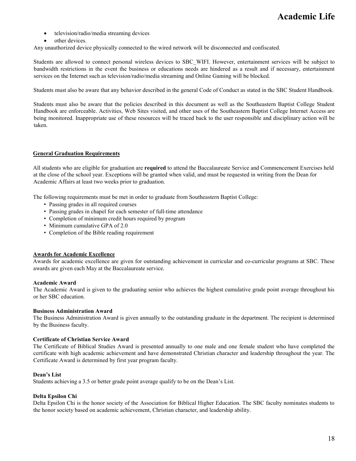- television/radio/media streaming devices
- other devices.

Any unauthorized device physically connected to the wired network will be disconnected and confiscated.

Students are allowed to connect personal wireless devices to SBC\_WIFI. However, entertainment services will be subject to bandwidth restrictions in the event the business or educations needs are hindered as a result and if necessary, entertainment services on the Internet such as television/radio/media streaming and Online Gaming will be blocked.

Students must also be aware that any behavior described in the general Code of Conduct as stated in the SBC Student Handbook.

Students must also be aware that the policies described in this document as well as the Southeastern Baptist College Student Handbook are enforceable. Activities, Web Sites visited, and other uses of the Southeastern Baptist College Internet Access are being monitored. Inappropriate use of these resources will be traced back to the user responsible and disciplinary action will be taken.

#### **General Graduation Requirements**

All students who are eligible for graduation are **required** to attend the Baccalaureate Service and Commencement Exercises held at the close of the school year. Exceptions will be granted when valid, and must be requested in writing from the Dean for Academic Affairs at least two weeks prior to graduation.

The following requirements must be met in order to graduate from Southeastern Baptist College:

- Passing grades in all required courses
- Passing grades in chapel for each semester of full-time attendance
- Completion of minimum credit hours required by program
- Minimum cumulative GPA of 2.0
- Completion of the Bible reading requirement

#### **Awards for Academic Excellence**

Awards for academic excellence are given for outstanding achievement in curricular and co-curricular programs at SBC. These awards are given each May at the Baccalaureate service.

#### **Academic Award**

The Academic Award is given to the graduating senior who achieves the highest cumulative grade point average throughout his or her SBC education.

#### **Business Administration Award**

The Business Administration Award is given annually to the outstanding graduate in the department. The recipient is determined by the Business faculty.

#### **Certificate of Christian Service Award**

The Certificate of Biblical Studies Award is presented annually to one male and one female student who have completed the certificate with high academic achievement and have demonstrated Christian character and leadership throughout the year. The Certificate Award is determined by first year program faculty.

#### **Dean's List**

Students achieving a 3.5 or better grade point average qualify to be on the Dean's List.

#### **Delta Epsilon Chi**

Delta Epsilon Chi is the honor society of the Association for Biblical Higher Education. The SBC faculty nominates students to the honor society based on academic achievement, Christian character, and leadership ability.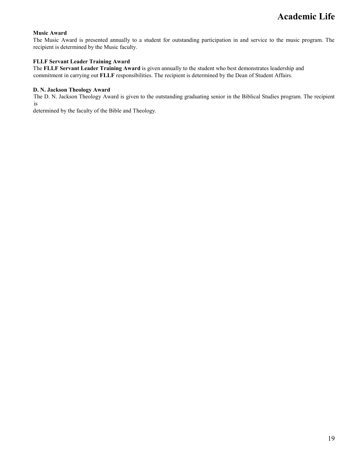#### **Music Award**

The Music Award is presented annually to a student for outstanding participation in and service to the music program. The recipient is determined by the Music faculty.

#### **FLLF Servant Leader Training Award**

The **FLLF Servant Leader Training Award** is given annually to the student who best demonstrates leadership and commitment in carrying out **FLLF** responsibilities. The recipient is determined by the Dean of Student Affairs.

#### **D. N. Jackson Theology Award**

The D. N. Jackson Theology Award is given to the outstanding graduating senior in the Biblical Studies program. The recipient is

determined by the faculty of the Bible and Theology.